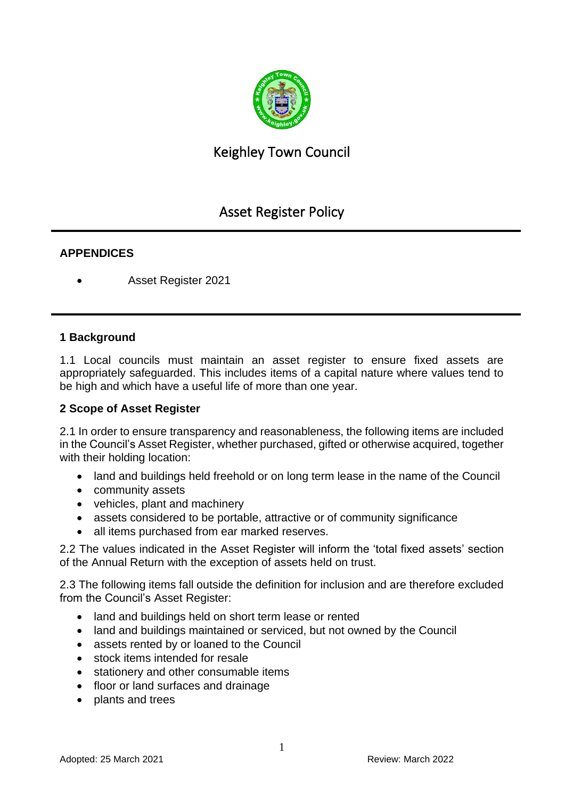

# Keighley Town Council

# Asset Register Policy

## **APPENDICES**

• Asset Register 2021

#### **1 Background**

1.1 Local councils must maintain an asset register to ensure fixed assets are appropriately safeguarded. This includes items of a capital nature where values tend to be high and which have a useful life of more than one year.

## **2 Scope of Asset Register**

2.1 In order to ensure transparency and reasonableness, the following items are included in the Council's Asset Register, whether purchased, gifted or otherwise acquired, together with their holding location:

- land and buildings held freehold or on long term lease in the name of the Council
- community assets
- vehicles, plant and machinery
- assets considered to be portable, attractive or of community significance
- all items purchased from ear marked reserves.

2.2 The values indicated in the Asset Register will inform the 'total fixed assets' section of the Annual Return with the exception of assets held on trust.

2.3 The following items fall outside the definition for inclusion and are therefore excluded from the Council's Asset Register:

- land and buildings held on short term lease or rented
- land and buildings maintained or serviced, but not owned by the Council
- assets rented by or loaned to the Council
- stock items intended for resale
- stationery and other consumable items
- floor or land surfaces and drainage
- plants and trees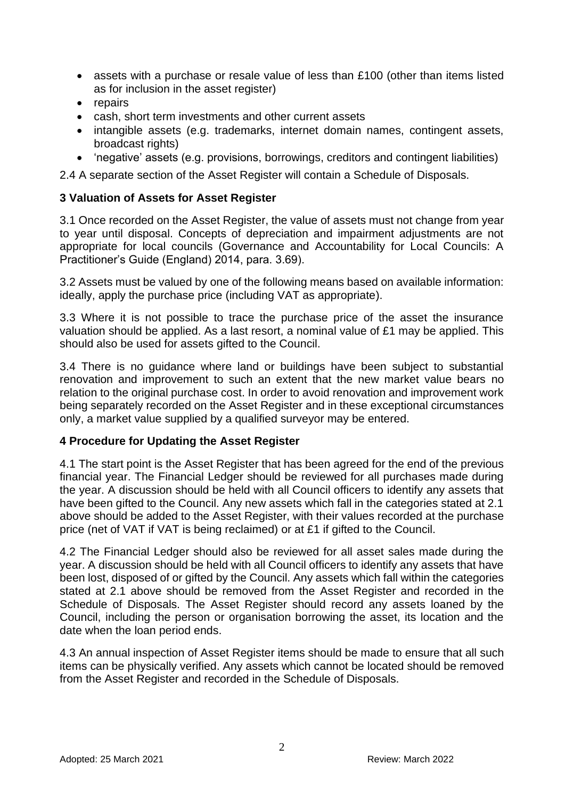- assets with a purchase or resale value of less than £100 (other than items listed as for inclusion in the asset register)
- repairs
- cash, short term investments and other current assets
- intangible assets (e.g. trademarks, internet domain names, contingent assets, broadcast rights)
- 'negative' assets (e.g. provisions, borrowings, creditors and contingent liabilities)

2.4 A separate section of the Asset Register will contain a Schedule of Disposals.

#### **3 Valuation of Assets for Asset Register**

3.1 Once recorded on the Asset Register, the value of assets must not change from year to year until disposal. Concepts of depreciation and impairment adjustments are not appropriate for local councils (Governance and Accountability for Local Councils: A Practitioner's Guide (England) 2014, para. 3.69).

3.2 Assets must be valued by one of the following means based on available information: ideally, apply the purchase price (including VAT as appropriate).

3.3 Where it is not possible to trace the purchase price of the asset the insurance valuation should be applied. As a last resort, a nominal value of £1 may be applied. This should also be used for assets gifted to the Council.

3.4 There is no guidance where land or buildings have been subject to substantial renovation and improvement to such an extent that the new market value bears no relation to the original purchase cost. In order to avoid renovation and improvement work being separately recorded on the Asset Register and in these exceptional circumstances only, a market value supplied by a qualified surveyor may be entered.

## **4 Procedure for Updating the Asset Register**

4.1 The start point is the Asset Register that has been agreed for the end of the previous financial year. The Financial Ledger should be reviewed for all purchases made during the year. A discussion should be held with all Council officers to identify any assets that have been gifted to the Council. Any new assets which fall in the categories stated at 2.1 above should be added to the Asset Register, with their values recorded at the purchase price (net of VAT if VAT is being reclaimed) or at £1 if gifted to the Council.

4.2 The Financial Ledger should also be reviewed for all asset sales made during the year. A discussion should be held with all Council officers to identify any assets that have been lost, disposed of or gifted by the Council. Any assets which fall within the categories stated at 2.1 above should be removed from the Asset Register and recorded in the Schedule of Disposals. The Asset Register should record any assets loaned by the Council, including the person or organisation borrowing the asset, its location and the date when the loan period ends.

4.3 An annual inspection of Asset Register items should be made to ensure that all such items can be physically verified. Any assets which cannot be located should be removed from the Asset Register and recorded in the Schedule of Disposals.